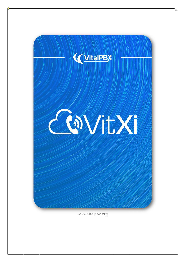

www.vitalpbx.org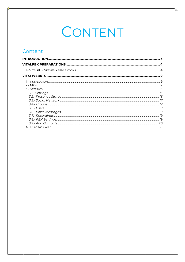# CONTENT

### Content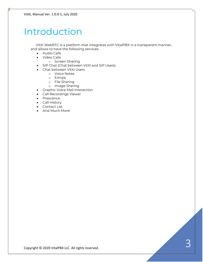## Introduction

VitXi WebRTC is a platform that integrates with VitalPBX in a transparent manner, and allows to have the following services:

- Audio Calls
- Video Calls
	- o Screen Sharing
- SIP Chat (Chat between VitXi and SIP Users)
- Chat between VitXi Users
	- o Voice Notes
	- o Emojis
	- o File Sharing
	- o Image Sharing
- Graphic Voice Mail Interaction
- Call Recordings Viewer
- Prescence
- Call History
- Contact List
- And Much More!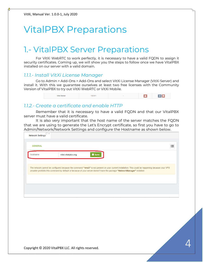## VitalPBX Preparations

## 1.- VitalPBX Server Preparations

For VitXi WebRTC to work perfectly, it is necessary to have a valid FQDN to assign it security certificates. Coming up, we will show you the steps to follow once we have VitalPBX installed on our server with a valid domain.

#### *1.1.1.- Install VitXi License Manager*

Go to Admin > Add-Ons > Add-Ons and select VitXi License Manager (VitXi Server) and install it. With this we guarantee ourselves at least two free licenses with the Community Version of VitalPBX to try out VitXi WebRTC or VitXi Mobile.



#### *1.1.2.- Create a certificate and enable HTTP*

Remember that it is necessary to have a valid FQDN and that our VitalPBX server must have a valid certificate.

It is also very important that the host name of the server matches the FQDN that we are using to generate the Let's Encrypt certificate, so first you have to go to Admin/Network/Network Settings and configure the Hostname as shown below.

| Sx<br><b>Network Settings</b> |                                                                                                                                                                                                                                                                                 |  |
|-------------------------------|---------------------------------------------------------------------------------------------------------------------------------------------------------------------------------------------------------------------------------------------------------------------------------|--|
| <b>GENERAL</b>                |                                                                                                                                                                                                                                                                                 |  |
| Hostname                      | Save<br>vitxi.vitalpbx.org                                                                                                                                                                                                                                                      |  |
|                               |                                                                                                                                                                                                                                                                                 |  |
|                               | The network cannot be configured because the command "nmcli" is not present on your current installation. This could be happening because your VPS<br>provider prohibits this command by default or because of your server doesn't have the package "NetworkManager" installed. |  |
|                               |                                                                                                                                                                                                                                                                                 |  |
|                               |                                                                                                                                                                                                                                                                                 |  |
|                               |                                                                                                                                                                                                                                                                                 |  |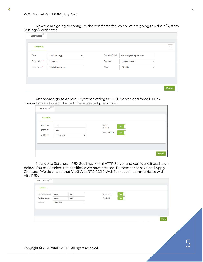Now we are going to configure the certificate for which we are going to Admin/System Settings/Certificates.

| <b>GENERAL</b> |                      |              |                     |                      |              | 這 |
|----------------|----------------------|--------------|---------------------|----------------------|--------------|---|
| Type           | <b>Let's Encrypt</b> | $\checkmark$ | <b>Owners Email</b> | rcuadra@vitalpbx.com |              |   |
| Description *  | <b>VPBX SSL</b>      |              | Country             | <b>United States</b> | $\checkmark$ |   |
| Hostname*      | vitxi.vitalpbx.org   |              | State               | <b>Florida</b>       | $\checkmark$ |   |

Afterwards, go to Admin > System Settings > HTTP Server, and force HTTPS connection and select the certificate created previously.

| <b>GENERAL</b>    |                 |              |                               |  |
|-------------------|-----------------|--------------|-------------------------------|--|
| <b>HTTP Port</b>  | 80              |              | <b>HTTPS</b><br>Yes<br>Enable |  |
| <b>HTTPS Port</b> | 443             |              | Force HTTPS                   |  |
| Certificate       | <b>VPBX SSL</b> | $\checkmark$ | Yes                           |  |
|                   |                 |              |                               |  |
|                   |                 |              |                               |  |

Now go to Settings > PBX Settings > Mini HTTP Server and configure it as shown below. You must select the certificate we have created. Remember to save and Apply Changes. We do this so that VitXi WebRTC PJSIP WebSocket can communicate with VitalPBX.

| HTTP Bind Address | 0.0.0.0         | 8088                     | Enable HTTP       | Yes |               |
|-------------------|-----------------|--------------------------|-------------------|-----|---------------|
| TLS Bind Address  | 0.0.0.0         | 8089                     | <b>TLS Enable</b> | Yes |               |
| Certificate       | <b>VPBX SSL</b> | $\overline{\phantom{a}}$ |                   |     |               |
|                   |                 |                          |                   |     |               |
|                   |                 |                          |                   |     |               |
|                   |                 |                          |                   |     |               |
|                   |                 |                          |                   |     |               |
|                   |                 |                          |                   |     | <b>B</b> Save |
|                   |                 |                          |                   |     |               |
|                   |                 |                          |                   |     |               |
|                   |                 |                          |                   |     |               |
|                   |                 |                          |                   |     |               |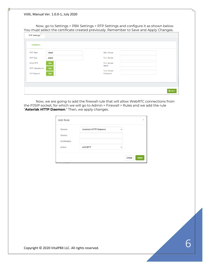Now, go to Settings > PBX Settings > RTP Settings and configure it as shown below. You must select the certificate created previously. Remember to Save and Apply Changes.

| <b>Px</b><br><b>RTP Settings</b> |       |                                |               |
|----------------------------------|-------|--------------------------------|---------------|
| <b>GENERAL</b>                   |       |                                |               |
| <b>RTP Start</b>                 | 10000 | Stun Server                    |               |
| <b>RTP End</b>                   | 20000 | <b>Turn Server</b>             |               |
| <b>Strict RTP</b>                | Yes   | <b>Turn Server</b><br>Name     |               |
| <b>RTP Checksums</b>             | Yes   |                                |               |
| <b>ICE Support</b>               | Yes   | <b>Turn Server</b><br>Password |               |
|                                  |       |                                |               |
|                                  |       |                                |               |
|                                  |       |                                | <b>圖 Save</b> |

Now, we are going to add the firewall rule that will allow WebRTC connections from the PJSIP socket, for which we will go to Admin > Firewall > Rules and we add the rule "**Asterisk HTTP Daemon**." Then, we apply changes.

| Add Rule    |                      |              |       |      |
|-------------|----------------------|--------------|-------|------|
| Service     | Asterisk HTTP Daemon | $\checkmark$ |       |      |
| Source      |                      |              |       |      |
| Destination |                      |              |       |      |
| Action      | <b>ACCEPT</b>        | $\checkmark$ |       |      |
|             |                      |              |       |      |
|             |                      |              | Close | Save |

Copyright © 2020 VitalPBX LLC. All rights reserved.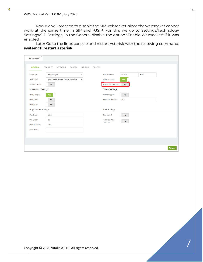Now we will proceed to disable the SIP websocket, since the websocket cannot work at the same time in SIP and PJSIP. For this we go to Settings/Technology Settings/SIP Settings, in the General disable the option "Enable Websocket" if it was enabled.

Later Go to the linux console and restart Asterisk with the following command: **systemctl restart asterisk**

| Language                     | English (en)                       | $\checkmark$ | <b>Bind Address</b>       | 0.0.0.0   | 5062 |  |
|------------------------------|------------------------------------|--------------|---------------------------|-----------|------|--|
| <b>Tone Zone</b>             | (us) United States / North America | $\checkmark$ | <b>Allow Transfer</b>     | Yes       |      |  |
| G726-32 Audio                | <b>No</b>                          |              | Enable Websocket          | <b>No</b> |      |  |
| <b>Notification Settings</b> |                                    |              | <b>Video Settings</b>     |           |      |  |
| Notify Ringing               | Yes                                |              | Video Support             | <b>No</b> |      |  |
| Notify Hold                  | <b>No</b>                          |              | Max Call BitRate          | 384       |      |  |
| Notify CID                   | No                                 |              |                           |           |      |  |
| <b>Registration Settings</b> |                                    |              | <b>Fax Settings</b>       |           |      |  |
| Max Expiry                   | 3600                               |              | <b>Fax Detect</b>         | <b>No</b> |      |  |
| Min Expiry                   | 60                                 |              | T.38 Fax Pass-<br>Through | No        |      |  |
| <b>Default Expiry</b>        | 120                                |              |                           |           |      |  |
| <b>MWI Expiry</b>            |                                    |              |                           |           |      |  |
|                              |                                    |              |                           |           |      |  |

Copyright © 2020 VitalPBX LLC. All rights reserved. 7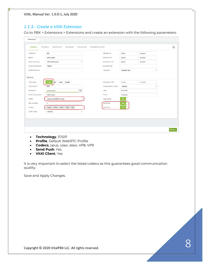#### *1.1.3.- Create a VitXi Extension*

Go to PBX > Extensions > Extensions and create an extension with the following parameters:

| Extension *          | 600                                                      |              | Internal CID                           | Name            | Number |              |
|----------------------|----------------------------------------------------------|--------------|----------------------------------------|-----------------|--------|--------------|
| Name *               | VitXi Client                                             |              | External CID                           | Name            | Number |              |
| Class of Service     | All Permissions                                          |              | Emergency CID                          | Name            | Number |              |
| Features Password    | "95624                                                   |              | Account Code                           |                 |        |              |
| Email Addresses      |                                                          |              | Language                               | English (en)    |        | $\checkmark$ |
| Technology           | <b>SIP</b><br><b>NONE</b><br><b>PJSIP</b><br>IAX2<br>600 |              | Emergency CID<br>Dispatchable Location | Name<br>Default | Number | $\checkmark$ |
| User Device *        |                                                          |              |                                        |                 |        |              |
| Password *           | $^{\circ}$<br>**************                             |              | Deny                                   | 0.0.0.0/0       |        |              |
| Device Description * | VitXi Client                                             |              | Permit                                 | 0.0.0.0/0       |        |              |
| Profile              | Default WebRTC Profile                                   | v.           | Ring Device                            | Yes             |        |              |
| Max Contacts         | 1.                                                       |              | Send Push                              | Yes             |        |              |
| Codecs               | x opus xulaw xalaw xvp8 xvp9                             |              | Vitxi Client                           | Yes             |        |              |
| DTMF Mode            | rfc4733                                                  | $\checkmark$ |                                        |                 |        |              |
|                      |                                                          |              |                                        |                 |        |              |
|                      |                                                          |              |                                        |                 |        |              |

- **Technology**, PJSIP
- **Profile**, Default WebRTC Profile
- **Codecs**, opus, ulaw, alaw, VP8, VP9
- **Send Push**, Yes
- **VitXi Client**, Yes

It is very important to select the listed codecs as this guarantees good communication quality.

Save and Apply Changes.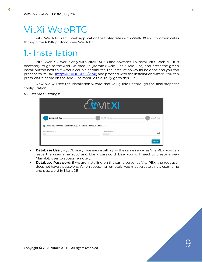## VitXi WebRTC

VitXi WebRTC is a full web application that integrates with VitalPBX and communicates through the PJSIP protocol over WebRTC.

## 1.- Installation

VitXi WebRTC works only with VitalPBX 3.0 and onwards. To install VitXi WebRTC it is necessary to go to the Add-On module (Admin > Add-Ons > Add-Ons) and press the green install button next to it. After a couple of minutes, the installation would be done and you can proceed to its URL [\(http://IP-ADDRESS/VitXi\)](http://ip-address/VitXi) and proceed with the installation wizard. You can press VitXi's name on the Add-Ons module to quickly go to this URL.

Now, we will see the installation wizard that will guide us through the final steps for configuration.

a.- Database Settings:

| <b>GN/it.Xi</b>                                                                                            |                               |                 |  |  |
|------------------------------------------------------------------------------------------------------------|-------------------------------|-----------------|--|--|
| Database Setup<br><b>O</b> Enter a user with the necessary privileges to install the application database. | PBX Settings                  | User Setup<br>n |  |  |
| Database Username<br>root                                                                                  | Database Password<br>password | ⊙               |  |  |
|                                                                                                            |                               | <b>NEXT</b>     |  |  |

- **Database User**, MySQL user, if we are installing on the same server as VitalPBX, you can leave the username 'root' and blank password. Else, you will need to create a new MariaDB user to access remotely.
- **Database Password**, if we are installing on the same server as VitalPBX, the root user does not have a password. When accessing remotely, you must create a new username and password in MariaDB.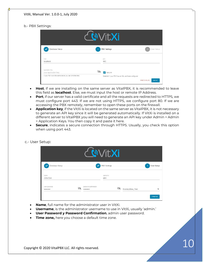#### b.- PBX Settings:

|                                                            | <u>ี เ</u> ®∨itXi                                                                         |
|------------------------------------------------------------|-------------------------------------------------------------------------------------------|
| Database Setup<br>z                                        | <b>PBX Settings</b><br>User Setup                                                         |
| host<br>localhost                                          | port<br>443                                                                               |
| application key<br>Ø,<br>your application key              | Secure                                                                                    |
| If your PBX is on the same server you can omit this field. | Establish if your PBX has an SSL certificate configured<br><b>PREVIOUS</b><br><b>NEXT</b> |

- **Host**, if we are installing on the same server as VitalPBX, it is recommended to leave this field as **localhost**. Else, we must input the host or remote IP Address.
- **Port**, if our server has a valid certificate and all the requests are redirected to HTTPS, we must configure port 443. If we are not using HTTPS, we configure port 80. If we are accessing the PBX remotely, remember to open these ports on the firewall.
- **Application key**, if the VitXi is located on the same server as VitalPBX, it is not necessary to generate an API key since it will be generated automatically. If VitXi is installed on a different server to VitalPBX you will need to generate an API key under Admin > Admin > Application Keys. You then copy it and paste it here.
- **Secure**, indicates a secure connection through HTTPS. Usually, you check this option when using port 443.

|                             |    |                           | <b>WitXi</b>                             |   |                  |               |
|-----------------------------|----|---------------------------|------------------------------------------|---|------------------|---------------|
| Database Setup              |    |                           | <b>PBX Settings</b>                      |   |                  | User Setup    |
| name<br>John Doe            |    |                           | <b>SENSIBILITADE</b><br>username<br>john |   |                  |               |
| user password<br>********** | Ø, | password confirmation<br> |                                          | Ø | America/New_York |               |
|                             |    |                           |                                          |   |                  | <b>FINISH</b> |

c.- User Setup:

- **Name**, full name for the administrator user in VitXi.
- **Username**, is the administrator username to use in VitXi, usually 'admin.'
- **User Password y Password Confirmation**, admin user password.
- **Time zone,** here you choose a default time zone.

Copyright © 2020 VitalPBX LLC. All rights reserved.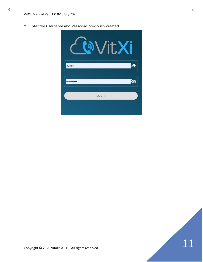d.- Enter the Username and Password previously created.



Copyright © 2020 VitalPBX LLC. All rights reserved.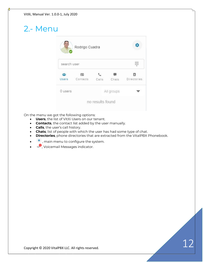## 2.- Menu



On the menu we got the following options:

- **Users**, the list of VitXi Users on our tenant.
- **Contacts**, the contact list added by the user manually.
- **Calls**, the user's call history.
- **Chats**, list of people with which the user has had some type of chat.
- **Directories**, phone directories that are extracted from the VitalPBX Phonebook.
- $\bullet$ , main menu to configure the system.
- $\omega$ , Voicemail Messages indicator.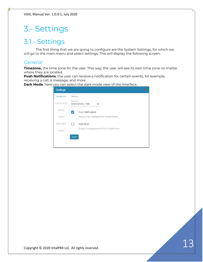## 3.- Settings

## 3.1.- Settings

The first thing that we are going to configure are the System Settings, for which we will go to the main menu and select settings. This will display the following screen.

#### *General*

**Timezone,** the time zone for the user. This way, the user will see its own time zone no matter where they are located.

**Push Notifications**, the user can receive a notification for certain events, for example, receiving a call, a message, and more.

**Dark Mode**, here you can select the dark mode view of the interface.

| <b>Settings</b> |                                               | $\mathbf x$ |
|-----------------|-----------------------------------------------|-------------|
| <b>GENERAL</b>  | General                                       |             |
| PRESENCE        | Timezone<br>America/New York                  |             |
| <b>AUDIO</b>    | <b>Push Notifications</b><br>◡                |             |
| VIDEO           | Receive Push Notifications For Certain Events |             |
| <b>DEVICES</b>  | Dark Mode                                     |             |
| CALLS           | Change The Appearance Of VitXi To Dark Tones  |             |
|                 | Save                                          |             |
|                 |                                               |             |
|                 |                                               |             |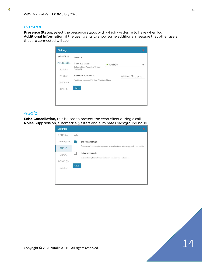#### *Presence*

**Presence Status**, select the presence status with which we desire to have when login in. **Additional Information**, if the user wants to show some additional message that other users that are connected will see.



#### *Audio*

**Echo Cancellation,** this is used to prevent the echo effect during a call. **Noise Suppression**, automatically filters and eliminates background noise.

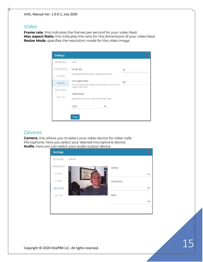#### *Video*

**Frame rate**, this indicates the frames per second for your video feed. **Max aspect Ratio**, this indicates the ratio for the dimensions of your video feed. **Resize Mode**, specifies the resolution mode for the video image.

| <b>Settings</b>          |                                                                                                    |     | $^{\star}$ |
|--------------------------|----------------------------------------------------------------------------------------------------|-----|------------|
| GENERAL                  | video                                                                                              |     |            |
| PRESENCE<br><b>AUDIO</b> | frame rate<br>indicating the frame rate, in frames per second                                      | 10  |            |
| <b>VIDEO</b>             | max aspect ratio<br>set the proportional relationship between the width and<br>height of the video | 4:3 |            |
| <b>DEVICES</b>           |                                                                                                    |     |            |
| CALLS                    | resize mode<br>specify the resolution mode of the video track.                                     |     |            |
|                          | none                                                                                               |     |            |
|                          |                                                                                                    |     |            |
|                          | Save                                                                                               |     |            |

#### *Devices*

**Camera**, this allows you to select your video device for video calls. Microphone, here you select your desired microphone device. **Audio**, here you can select your audio output device.

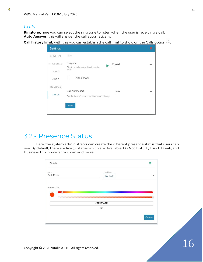#### *Calls*

**Ringtone,** here you can select the ring tone to listen when the user is receiving a call. **Auto Answer,** this will answer the call automatically.

**Call history limit,** with this you can establish the call limit to show on the Calls option

| <b>Settings</b> |                                                                               | × |
|-----------------|-------------------------------------------------------------------------------|---|
| GENERAL         | Calls                                                                         |   |
| PRESENCE        | Ringtone<br>Crystal<br>Ringtone to be played on incoming                      |   |
| <b>AUDIO</b>    | calls                                                                         |   |
| VIDEO           | Auto answer                                                                   |   |
| DEVICES         |                                                                               |   |
| CALLS           | Call history limit<br>250<br>Set the limit of records to show in call history |   |
|                 | Save                                                                          |   |

### 3.2.- Presence Status

Here, the system administrator can create the different presence status that users can use. By default, there are five (5) status which are, Available, Do Not Disturb, Lunch Break, and Business Trip, however, you can add more.

| Create                                              |             | ≡                       |    |
|-----------------------------------------------------|-------------|-------------------------|----|
| name                                                | select icon |                         |    |
| Bath Room                                           | $b$ bath    | $\overline{\mathbf{v}}$ |    |
| status color                                        |             |                         |    |
|                                                     |             |                         |    |
| - - -                                               |             |                         |    |
| #FF4700FF                                           |             |                         |    |
|                                                     | <b>HEX</b>  |                         |    |
|                                                     |             | Create                  |    |
|                                                     |             |                         |    |
|                                                     |             |                         |    |
|                                                     |             |                         |    |
|                                                     |             |                         |    |
| Copyright © 2020 VitalPBX LLC. All rights reserved. |             |                         | 16 |
|                                                     |             |                         |    |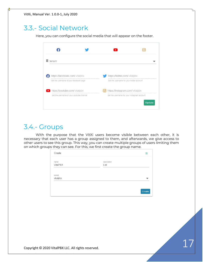## 3.3.- Social Network

Here, you can configure the social media that will appear on the footer.

| <b>圆</b> tenant                          |                                             |        |
|------------------------------------------|---------------------------------------------|--------|
| https://facebook.com/ vitalpbx           | https://twitter.com/ vitalpbx               |        |
| Set the username of your facebook page   | Set the username for your twitter account   |        |
| https://youtube.com/ vitalpbx            | https://instagram.com/ vitalpbx             |        |
| Set the username of your youtube channel | Set the username for your Instagram account |        |
|                                          |                                             | Update |

## 3.4.- Groups

With the purpose that the VitXi users become visible between each other, it is necessary that each user has a group assigned to them, and afterwards, we give access to other users to see this group. This way, you can create multiple groups of users limiting them on which groups they can see. For this, we first create the group name.

| Create             |                                           |        |
|--------------------|-------------------------------------------|--------|
| name<br>VitalPBX   | agency and provide<br>description<br>List |        |
| tenant<br>vitalpbx |                                           |        |
|                    |                                           | Create |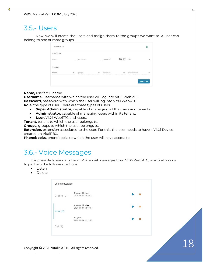### 3.5.- Users

Now, we will create the users and assign them to the groups we want to. A user can belong to one or more groups.

| role<br>password<br>32  |
|-------------------------|
|                         |
| phonebooks<br>extension |
|                         |

**Name,** user's full name.

**Username,** username with which the user will log into VitXi WebRTC. **Password,** password with which the user will log into VitXi WebRTC. **Role,** the type of user. There are three types of users.

- **Super Administrator,** capable of managing all the users and tenants.
- **Administrator,** capable of managing users within its tenant.
- **User,** VitXi WebRTC end-users.

**Tenant,** tenant to which the user belongs to.

**Groups,** groups to which the user belongs to.

**Extension,** extension associated to the user. For this, the user needs to have a VitXi Device created on VitalPBX.

**Phonebooks,** phonebooks to which the user will have access to.

### 3.6.- Voice Messages

It is possible to view all of your Voicemail messages from VitXi WebRTC, which allows us to perform the following actions:

- Listen
- Delete

| Urgent (0) | Emanuel Lyons<br>2020-06-16 12:20:21  | ×                         |
|------------|---------------------------------------|---------------------------|
| New(3)     | Antonio Montes<br>2020-06-14 14:36:04 | $\boldsymbol{\mathsf{x}}$ |
|            | maynor<br>2020-06-14 11:15:29         | ×                         |
| Old(1)     |                                       |                           |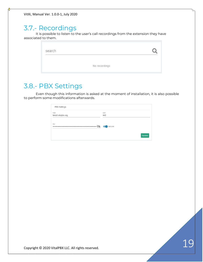### 3.7.- Recordings

It is possible to listen to the user's call recordings from the extension they have associated to them.

| search |               |  |
|--------|---------------|--|
|        | No recordings |  |

### 3.8.- PBX Settings

Even though this information is asked at the moment of installation, it is also possible to perform some modifications afterwards.

| host                     | port   |
|--------------------------|--------|
| beta3.vitalpbx.org       | 443    |
| key                      |        |
| $\bullet\bullet\ast$<br> | secure |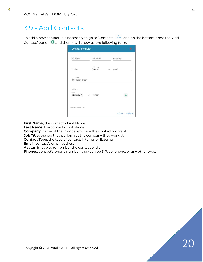## 3.9.- Add Contacts

To add a new contact, it is necessary to go to 'Contacts' , and on the bottom press the 'Add Contact' option  $\bullet$  and then it will show us the following form.

| first name*                       | last name*                | company* |
|-----------------------------------|---------------------------|----------|
| job title                         | contact type"<br>internal | email    |
| avatar<br>o pick an avatar        |                           |          |
| phones<br>type*<br>Internal (SIP) | number                    |          |
|                                   |                           |          |

**First Name,** the contact's First Name.

**Last Name,** the contact's Last Name.

**Company,** name of the Company where the Contact works at.

**Job Title,** the job they perform at the company they work at.

**Contact Type,** the type of contact, Internal or External.

**Email,** contact's email address.

**Avatar,** image to remember the contact with.

**Phones,** contact's phone number, they can be SIP, cellphone, or any other type.